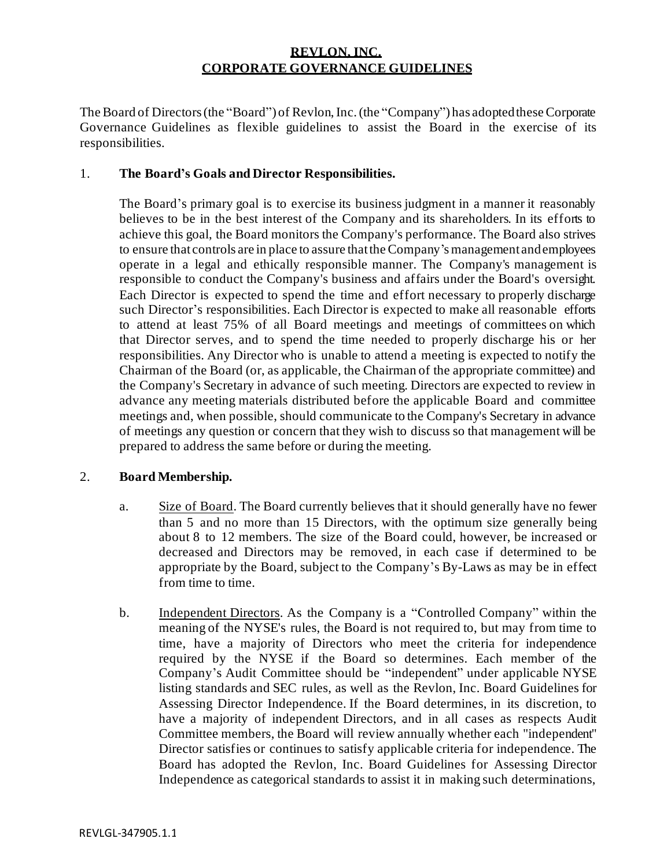# **REVLON, INC. CORPORATE GOVERNANCE GUIDELINES**

The Board of Directors(the "Board") of Revlon,Inc.(the "Company") has adoptedthese Corporate Governance Guidelines as flexible guidelines to assist the Board in the exercise of its responsibilities.

### 1. **The Board's Goals and Director Responsibilities.**

The Board's primary goal is to exercise its business judgment in a manner it reasonably believes to be in the best interest of the Company and its shareholders. In its efforts to achieve this goal, the Board monitors the Company's performance. The Board also strives to ensure that controls are in place to assure thatthe Company'smanagement and employees operate in a legal and ethically responsible manner. The Company's management is responsible to conduct the Company's business and affairs under the Board's oversight. Each Director is expected to spend the time and effort necessary to properly discharge such Director's responsibilities. Each Director is expected to make all reasonable efforts to attend at least 75% of all Board meetings and meetings of committees on which that Director serves, and to spend the time needed to properly discharge his or her responsibilities. Any Director who is unable to attend a meeting is expected to notify the Chairman of the Board (or, as applicable, the Chairman of the appropriate committee) and the Company's Secretary in advance of such meeting. Directors are expected to review in advance any meeting materials distributed before the applicable Board and committee meetings and, when possible, should communicate to the Company's Secretary in advance of meetings any question or concern that they wish to discuss so that management will be prepared to address the same before or during the meeting.

## 2. **Board Membership.**

- a. Size of Board. The Board currently believes that it should generally have no fewer than 5 and no more than 15 Directors, with the optimum size generally being about 8 to 12 members. The size of the Board could, however, be increased or decreased and Directors may be removed, in each case if determined to be appropriate by the Board, subject to the Company's By-Laws as may be in effect from time to time.
- b. Independent Directors. As the Company is a "Controlled Company" within the meaning of the NYSE's rules, the Board is not required to, but may from time to time, have a majority of Directors who meet the criteria for independence required by the NYSE if the Board so determines. Each member of the Company's Audit Committee should be "independent" under applicable NYSE listing standards and SEC rules, as well as the Revlon, Inc. Board Guidelines for Assessing Director Independence. If the Board determines, in its discretion, to have a majority of independent Directors, and in all cases as respects Audit Committee members, the Board will review annually whether each "independent" Director satisfies or continues to satisfy applicable criteria for independence. The Board has adopted the Revlon, Inc. Board Guidelines for Assessing Director Independence as categorical standards to assist it in making such determinations,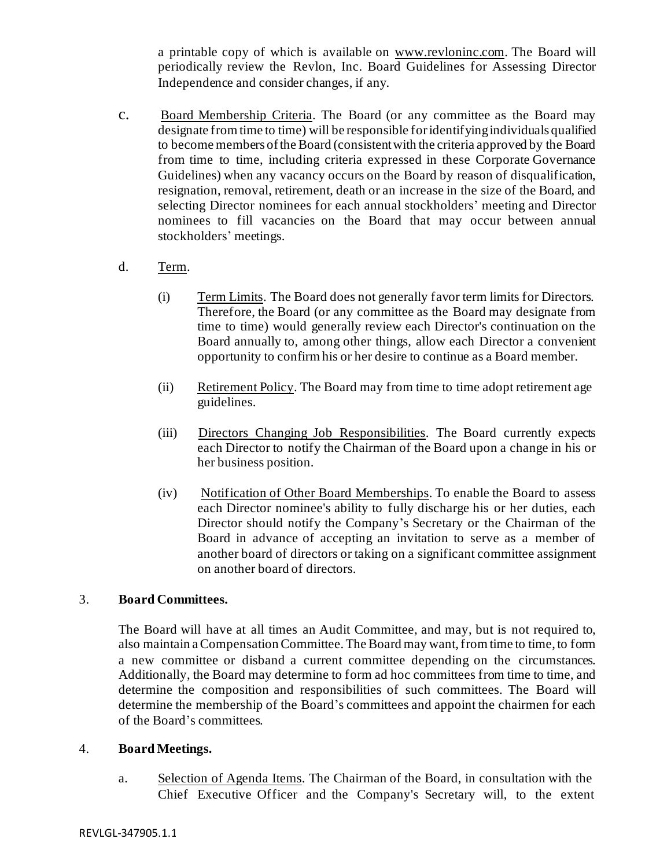a printable copy of which is available on [www.revloninc.com](http://www.revloninc.com/). The Board will periodically review the Revlon, Inc. Board Guidelines for Assessing Director Independence and consider changes, if any.

c. Board Membership Criteria. The Board (or any committee as the Board may designate from time to time) will be responsible foridentifying individuals qualified to become members of the Board (consistentwith the criteria approved by the Board from time to time, including criteria expressed in these Corporate Governance Guidelines) when any vacancy occurs on the Board by reason of disqualification, resignation, removal, retirement, death or an increase in the size of the Board, and selecting Director nominees for each annual stockholders' meeting and Director nominees to fill vacancies on the Board that may occur between annual stockholders' meetings.

### d. Term.

- (i) Term Limits. The Board does not generally favor term limits for Directors. Therefore, the Board (or any committee as the Board may designate from time to time) would generally review each Director's continuation on the Board annually to, among other things, allow each Director a convenient opportunity to confirm his or her desire to continue as a Board member.
- (ii) Retirement Policy. The Board may from time to time adopt retirement age guidelines.
- (iii) Directors Changing Job Responsibilities. The Board currently expects each Director to notify the Chairman of the Board upon a change in his or her business position.
- (iv) Notification of Other Board Memberships. To enable the Board to assess each Director nominee's ability to fully discharge his or her duties, each Director should notify the Company's Secretary or the Chairman of the Board in advance of accepting an invitation to serve as a member of another board of directors or taking on a significant committee assignment on another board of directors.

### 3. **Board Committees.**

The Board will have at all times an Audit Committee, and may, but is not required to, also maintain a Compensation Committee. The Board may want, from time to time, to form a new committee or disband a current committee depending on the circumstances. Additionally, the Board may determine to form ad hoc committees from time to time, and determine the composition and responsibilities of such committees. The Board will determine the membership of the Board's committees and appoint the chairmen for each of the Board's committees.

### 4. **Board Meetings.**

a. Selection of Agenda Items. The Chairman of the Board, in consultation with the Chief Executive Officer and the Company's Secretary will, to the extent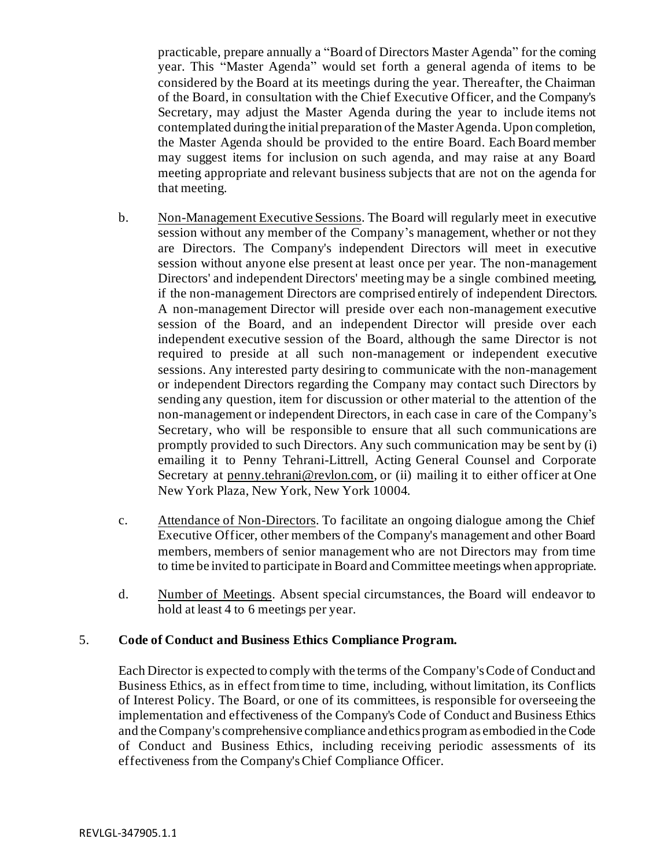practicable, prepare annually a "Board of Directors Master Agenda" for the coming year. This "Master Agenda" would set forth a general agenda of items to be considered by the Board at its meetings during the year. Thereafter, the Chairman of the Board, in consultation with the Chief Executive Officer, and the Company's Secretary, may adjust the Master Agenda during the year to include items not contemplated during the initial preparation of the Master Agenda. Upon completion, the Master Agenda should be provided to the entire Board. Each Board member may suggest items for inclusion on such agenda, and may raise at any Board meeting appropriate and relevant business subjects that are not on the agenda for that meeting.

- b. Non-Management Executive Sessions. The Board will regularly meet in executive session without any member of the Company's management, whether or not they are Directors. The Company's independent Directors will meet in executive session without anyone else present at least once per year. The non-management Directors' and independent Directors' meeting may be a single combined meeting, if the non-management Directors are comprised entirely of independent Directors. A non-management Director will preside over each non-management executive session of the Board, and an independent Director will preside over each independent executive session of the Board, although the same Director is not required to preside at all such non-management or independent executive sessions. Any interested party desiring to communicate with the non-management or independent Directors regarding the Company may contact such Directors by sending any question, item for discussion or other material to the attention of the non-management or independent Directors, in each case in care of the Company's Secretary, who will be responsible to ensure that all such communications are promptly provided to such Directors. Any such communication may be sent by (i) emailing it to Penny Tehrani-Littrell, Acting General Counsel and Corporate Secretary at penny.tehra[ni@revlon.com,](mailto:robert.kretzman@revlon.com) or (ii) mailing it to either officer at One New York Plaza, New York, New York 10004.
- c. Attendance of Non-Directors. To facilitate an ongoing dialogue among the Chief Executive Officer, other members of the Company's management and other Board members, members of senior management who are not Directors may from time to time be invited to participate in Board and Committee meetings when appropriate.
- d. Number of Meetings. Absent special circumstances, the Board will endeavor to hold at least 4 to 6 meetings per year.

### 5. **Code of Conduct and Business Ethics Compliance Program.**

Each Director is expected to comply with the terms of the Company'sCode of Conduct and Business Ethics, as in effect from time to time, including, without limitation, its Conflicts of Interest Policy. The Board, or one of its committees, is responsible for overseeing the implementation and effectiveness of the Company's Code of Conduct and Business Ethics and the Company's comprehensive compliance andethics programas embodied in theCode of Conduct and Business Ethics, including receiving periodic assessments of its effectiveness from the Company's Chief Compliance Officer.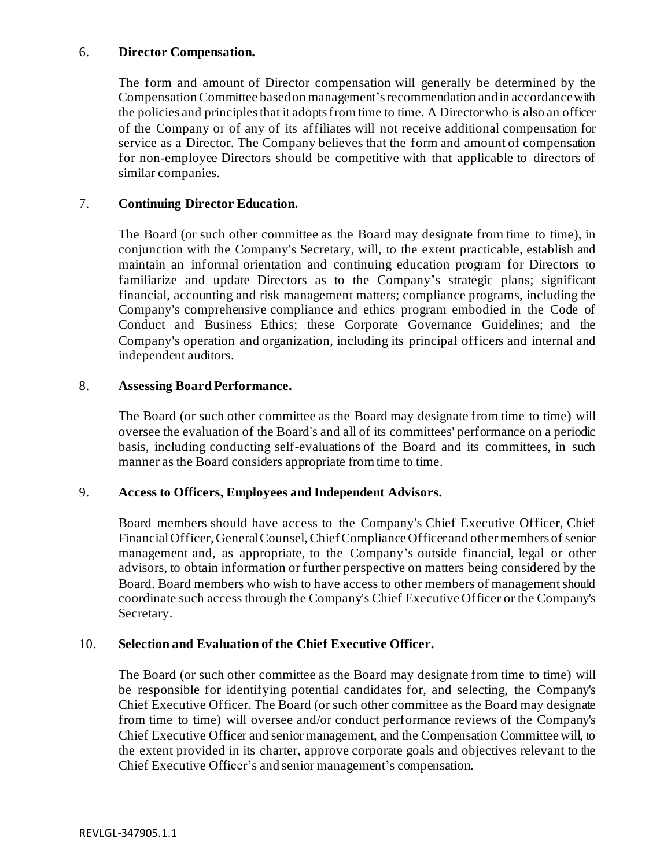### 6. **Director Compensation.**

The form and amount of Director compensation will generally be determined by the Compensation Committee basedon management'srecommendation andin accordance with the policies and principles that it adoptsfrom time to time. A Directorwho is also an officer of the Company or of any of its affiliates will not receive additional compensation for service as a Director. The Company believes that the form and amount of compensation for non-employee Directors should be competitive with that applicable to directors of similar companies.

### 7. **Continuing Director Education.**

The Board (or such other committee as the Board may designate from time to time), in conjunction with the Company's Secretary, will, to the extent practicable, establish and maintain an informal orientation and continuing education program for Directors to familiarize and update Directors as to the Company's strategic plans; significant financial, accounting and risk management matters; compliance programs, including the Company's comprehensive compliance and ethics program embodied in the Code of Conduct and Business Ethics; these Corporate Governance Guidelines; and the Company's operation and organization, including its principal officers and internal and independent auditors.

### 8. **Assessing Board Performance.**

The Board (or such other committee as the Board may designate from time to time) will oversee the evaluation of the Board's and all of its committees' performance on a periodic basis, including conducting self-evaluations of the Board and its committees, in such manner as the Board considers appropriate from time to time.

### 9. **Access to Officers, Employees and Independent Advisors.**

Board members should have access to the Company's Chief Executive Officer, Chief FinancialOfficer, GeneralCounsel,Chief Compliance Officer and other members of senior management and, as appropriate, to the Company's outside financial, legal or other advisors, to obtain information or further perspective on matters being considered by the Board. Board members who wish to have access to other members of management should coordinate such access through the Company's Chief Executive Officer or the Company's Secretary.

## 10. **Selection and Evaluation of the Chief Executive Officer.**

The Board (or such other committee as the Board may designate from time to time) will be responsible for identifying potential candidates for, and selecting, the Company's Chief Executive Officer. The Board (or such other committee as the Board may designate from time to time) will oversee and/or conduct performance reviews of the Company's Chief Executive Officer and senior management, and the Compensation Committee will, to the extent provided in its charter, approve corporate goals and objectives relevant to the Chief Executive Officer's and senior management's compensation.